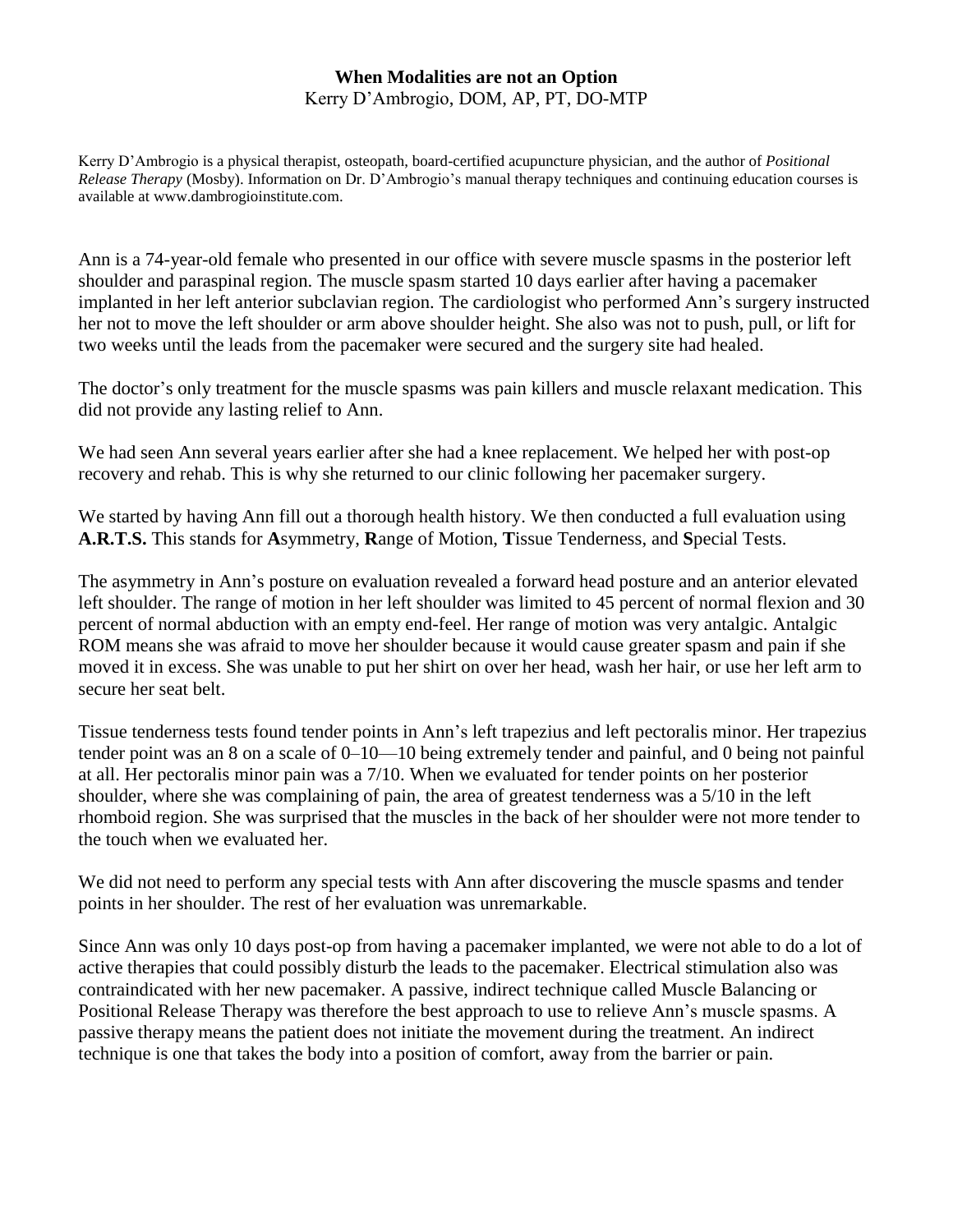## **When Modalities are not an Option** Kerry D'Ambrogio, DOM, AP, PT, DO-MTP

Kerry D'Ambrogio is a physical therapist, osteopath, board-certified acupuncture physician, and the author of *Positional Release Therapy* (Mosby). Information on Dr. D'Ambrogio's manual therapy techniques and continuing education courses is available at www.dambrogioinstitute.com.

Ann is a 74-year-old female who presented in our office with severe muscle spasms in the posterior left shoulder and paraspinal region. The muscle spasm started 10 days earlier after having a pacemaker implanted in her left anterior subclavian region. The cardiologist who performed Ann's surgery instructed her not to move the left shoulder or arm above shoulder height. She also was not to push, pull, or lift for two weeks until the leads from the pacemaker were secured and the surgery site had healed.

The doctor's only treatment for the muscle spasms was pain killers and muscle relaxant medication. This did not provide any lasting relief to Ann.

We had seen Ann several years earlier after she had a knee replacement. We helped her with post-op recovery and rehab. This is why she returned to our clinic following her pacemaker surgery.

We started by having Ann fill out a thorough health history. We then conducted a full evaluation using **A.R.T.S.** This stands for **A**symmetry, **R**ange of Motion, **T**issue Tenderness, and **S**pecial Tests.

The asymmetry in Ann's posture on evaluation revealed a forward head posture and an anterior elevated left shoulder. The range of motion in her left shoulder was limited to 45 percent of normal flexion and 30 percent of normal abduction with an empty end-feel. Her range of motion was very antalgic. Antalgic ROM means she was afraid to move her shoulder because it would cause greater spasm and pain if she moved it in excess. She was unable to put her shirt on over her head, wash her hair, or use her left arm to secure her seat belt.

Tissue tenderness tests found tender points in Ann's left trapezius and left pectoralis minor. Her trapezius tender point was an 8 on a scale of 0–10—10 being extremely tender and painful, and 0 being not painful at all. Her pectoralis minor pain was a 7/10. When we evaluated for tender points on her posterior shoulder, where she was complaining of pain, the area of greatest tenderness was a 5/10 in the left rhomboid region. She was surprised that the muscles in the back of her shoulder were not more tender to the touch when we evaluated her.

We did not need to perform any special tests with Ann after discovering the muscle spasms and tender points in her shoulder. The rest of her evaluation was unremarkable.

Since Ann was only 10 days post-op from having a pacemaker implanted, we were not able to do a lot of active therapies that could possibly disturb the leads to the pacemaker. Electrical stimulation also was contraindicated with her new pacemaker. A passive, indirect technique called Muscle Balancing or Positional Release Therapy was therefore the best approach to use to relieve Ann's muscle spasms. A passive therapy means the patient does not initiate the movement during the treatment. An indirect technique is one that takes the body into a position of comfort, away from the barrier or pain.